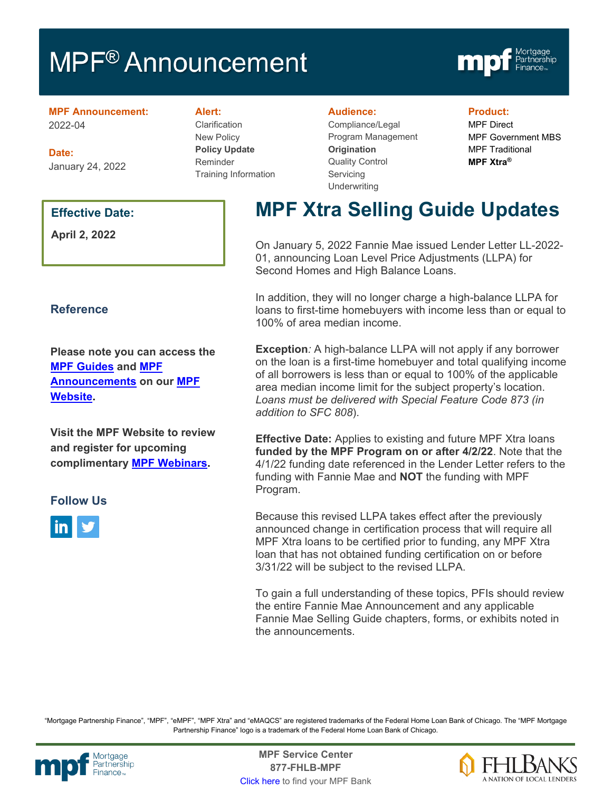# **MPF<sup>®</sup> Announcement**



#### **MPF Announcement:** 2022-04

**Date:** January 24, 2022

### **Effective Date:**

**April 2, 2022**

### **Reference**

**Please note you can access the [MPF Guides](https://fhlbmpf.com/mpf-guides/guides) and [MPF](https://fhlbmpf.com/mpf-guides/announcements)  [Announcements](https://fhlbmpf.com/mpf-guides/announcements) on our [MPF](https://fhlbmpf.com/)  [Website.](https://fhlbmpf.com/)** 

**Visit the MPF Website to review and register for upcoming complimentary [MPF Webinars.](https://www.fhlbmpf.com/education/upcoming-webinars)**

### **Follow Us**



**Alert:**

Clarification New Policy **Policy Update** Reminder Training Information

#### **Audience:**

Compliance/Legal Program Management **Origination**  Quality Control **Servicing Underwriting** 

#### **Product:**

MPF Direct MPF Government MBS MPF Traditional **MPF Xtra®**

# **MPF Xtra Selling Guide Updates**

On January 5, 2022 Fannie Mae issued Lender Letter LL-2022- 01, announcing Loan Level Price Adjustments (LLPA) for Second Homes and High Balance Loans.

In addition, they will no longer charge a high-balance LLPA for loans to first-time homebuyers with income less than or equal to 100% of area median income.

**Exception***:* A high-balance LLPA will not apply if any borrower on the loan is a first-time homebuyer and total qualifying income of all borrowers is less than or equal to 100% of the applicable area median income limit for the subject property's location. *Loans must be delivered with Special Feature Code 873 (in addition to SFC 808*).

**Effective Date:** Applies to existing and future MPF Xtra loans **funded by the MPF Program on or after 4/2/22**. Note that the 4/1/22 funding date referenced in the Lender Letter refers to the funding with Fannie Mae and **NOT** the funding with MPF Program.

Because this revised LLPA takes effect after the previously announced change in certification process that will require all MPF Xtra loans to be certified prior to funding, any MPF Xtra loan that has not obtained funding certification on or before 3/31/22 will be subject to the revised LLPA.

To gain a full understanding of these topics, PFIs should review the entire Fannie Mae Announcement and any applicable Fannie Mae Selling Guide chapters, forms, or exhibits noted in the announcements.

"Mortgage Partnership Finance", "MPF", "eMPF", "MPF Xtra" and "eMAQCS" are registered trademarks of the Federal Home Loan Bank of Chicago. The "MPF Mortgage Partnership Finance" logo is a trademark of the Federal Home Loan Bank of Chicago.



Mortgage **Center Service Center**<br>Partnership **Canadian Center Center**<br> **Partnership CALL STATELL B MDE 877-FHLB-MPF** [Click here](https://www.fhlbmpf.com/fhlbanks/fhlbanks) to find your MPF Bank